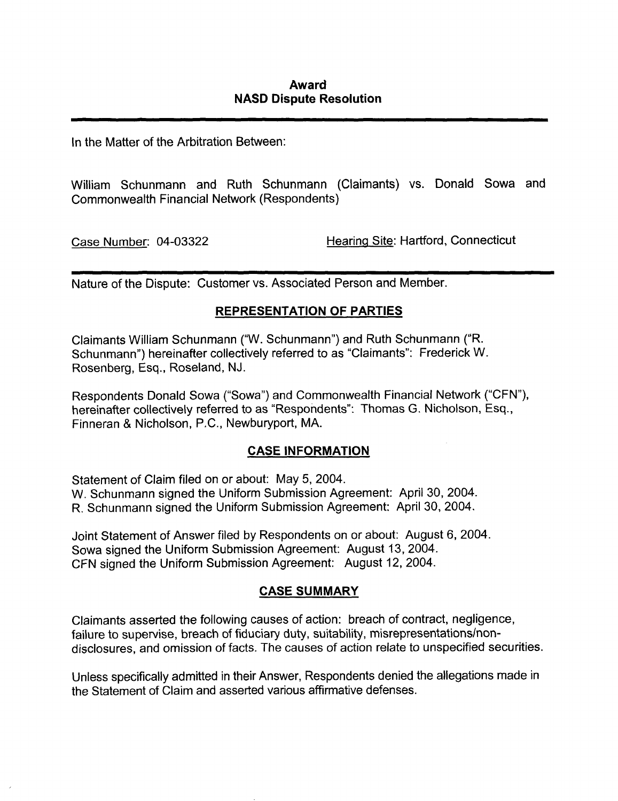## Award NASD Dispute Resolution

In the Matter of the Arbitration Between:

William Schunmann and Ruth Schunmann (Claimants) vs. Donald Sowa and Commonwealth Financial Network (Respondents)

Case Number: 04-03322 Hearing Site: Hartford, Connecticut

Nature of the Dispute: Customer vs. Associated Person and Member.

## REPRESENTATION OF PARTIES

Claimants William Schunmann ("W. Schunmann") and Ruth Schunmann ("R. Schunmann") hereinafter collectively referred to as "Claimants": Frederick W. Rosenberg, Esq., Roseland, NJ.

Respondents Donald Sowa ("Sowa") and Commonwealth Financial Network ("CFN"), hereinafter collectively referred to as "Respondents": Thomas G. Nicholson, Esq., Finneran & Nicholson, P.C., Newburyport, MA.

## CASE INFORMATION

Statement of Claim filed on or about: May 5, 2004. W. Schunmann signed the Uniform Submission Agreement: April 30, 2004. R. Schunmann signed the Uniform Submission Agreement: April 30, 2004.

Joint Statement of Answer filed by Respondents on or about: August 6, 2004. Sowa signed the Uniform Submission Agreement: August 13, 2004. CFN signed the Uniform Submission Agreement: August 12, 2004.

## CASE SUMMARY

Claimants asserted the following causes of action: breach of contract, negligence, failure to supervise, breach of fiduciary duty, suitability, misrepresentations/nondisclosures, and omission of facts. The causes of action relate to unspecified securities.

Unless specifically admitted in their Answer, Respondents denied the allegations made in the Statement of Claim and asserted various affirmative defenses.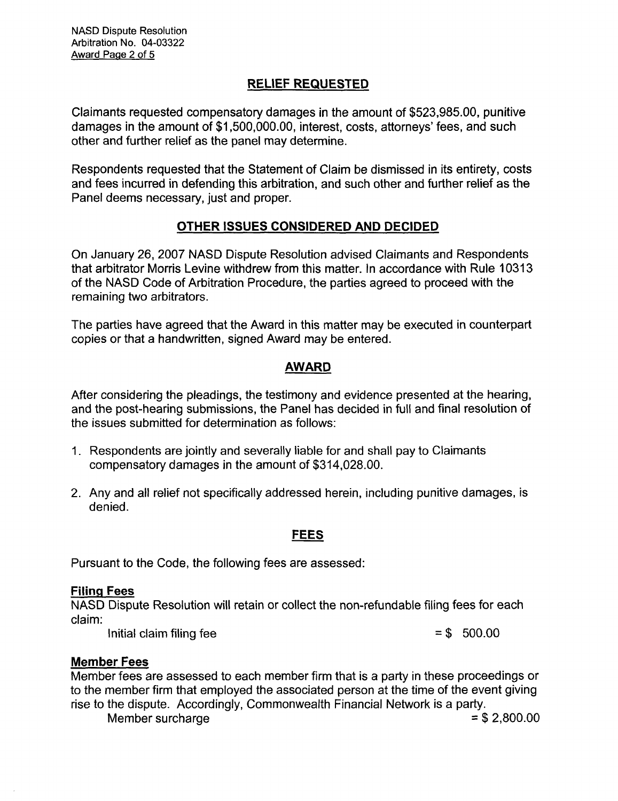# RELIEF REQUESTED

Claimants requested compensatory damages in the amount of \$523,985.00, punitive damages in the amount of \$1,500,000.00, interest, costs, attorneys' fees, and such other and further relief as the panel may determine.

Respondents requested that the Statement of Claim be dismissed in its entirety, costs and fees incurred in defending this arbitration, and such other and further relief as the Panel deems necessary, just and proper.

## OTHER ISSUES CONSIDERED AND DECIDED

On January 26, 2007 NASD Dispute Resolution advised Claimants and Respondents that arbitrator Morris Levine withdrew from this matter. In accordance with Rule 10313 of the NASD Code of Arbitration Procedure, the parties agreed to proceed with the remaining two arbitrators.

The parties have agreed that the Award in this matter may be executed in counterpart copies or that a handwritten, signed Award may be entered.

### AWARD

After considering the pleadings, the testimony and evidence presented at the hearing, and the post-hearing submissions, the Panel has decided in full and final resolution of the issues submitted for determination as follows:

- 1. Respondents are jointly and severally liable for and shall pay to Claimants compensatory damages in the amount of \$314,028.00.
- 2. Any and all relief not specifically addressed herein, including punitive damages, is denied.

#### FEES

Pursuant to the Code, the following fees are assessed:

#### Filing Fees

NASD Dispute Resolution will retain or collect the non-refundable filing fees for each claim:

Initial claim filing fee  $= $$  500.00

#### Member Fees

Member fees are assessed to each member firm that is a party in these proceedings or to the member firm that employed the associated person at the time of the event giving rise to the dispute. Accordingly, Commonwealth Financial Network is a party. Member surcharge  $= $2,800.00$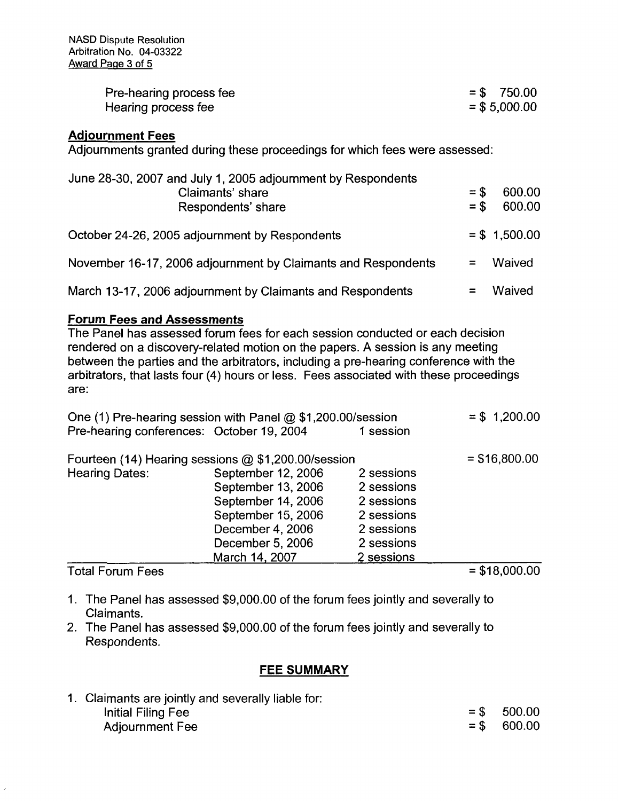| Pre-hearing process fee | $=$ \$ 750.00   |
|-------------------------|-----------------|
| Hearing process fee     | $=$ \$ 5,000.00 |

### Adjournment Fees

Adjournments granted during these proceedings for which fees were assessed:

| June 28-30, 2007 and July 1, 2005 adjournment by Respondents<br>Claimants' share<br>Respondents' share | $=$ \$<br>$=$ \$ | 600.00<br>600.00 |
|--------------------------------------------------------------------------------------------------------|------------------|------------------|
| October 24-26, 2005 adjournment by Respondents                                                         |                  | $=$ \$ 1,500.00  |
| November 16-17, 2006 adjournment by Claimants and Respondents                                          |                  | Waived           |
| March 13-17, 2006 adjournment by Claimants and Respondents                                             |                  | Waived           |

### Forum Fees and Assessments

The Panel has assessed forum fees for each session conducted or each decision rendered on a discovery-related motion on the papers. A session is any meeting between the parties and the arbitrators, including a pre-hearing conference with the arbitrators, that lasts four (4) hours or less. Fees associated with these proceedings are:

| One (1) Pre-hearing session with Panel $@$ \$1,200.00/session | $= $ 1,200.00$     |            |                                                                                                                                |
|---------------------------------------------------------------|--------------------|------------|--------------------------------------------------------------------------------------------------------------------------------|
| Pre-hearing conferences: October 19, 2004                     |                    | 1 session  |                                                                                                                                |
| Fourteen (14) Hearing sessions $@$ \$1,200.00/session         |                    |            | $= $16,800.00$                                                                                                                 |
| Hearing Dates:                                                | September 12, 2006 | 2 sessions |                                                                                                                                |
|                                                               | September 13, 2006 | 2 sessions |                                                                                                                                |
|                                                               | September 14, 2006 | 2 sessions |                                                                                                                                |
|                                                               | September 15, 2006 | 2 sessions |                                                                                                                                |
|                                                               | December 4, 2006   | 2 sessions |                                                                                                                                |
|                                                               | December 5, 2006   | 2 sessions |                                                                                                                                |
|                                                               | March 14, 2007     | 2 sessions |                                                                                                                                |
|                                                               |                    |            | $\begin{array}{c} \hline \textbf{A} & \textbf{A} & \textbf{A} & \textbf{A} & \textbf{A} & \textbf{A} & \textbf{A} \end{array}$ |

Total Forum Fees = \$18,000.00

- 
- 1. The Panel has assessed \$9,000.00 of the forum fees jointly and severally to Claimants.
- 2. The Panel has assessed \$9,000.00 of the forum fees jointly and severally to Respondents.

#### FEE SUMMARY

| 1. Claimants are jointly and severally liable for: |               |
|----------------------------------------------------|---------------|
| Initial Filing Fee                                 | $=$ \$ 500.00 |
| <b>Adjournment Fee</b>                             | $=$ \$ 600.00 |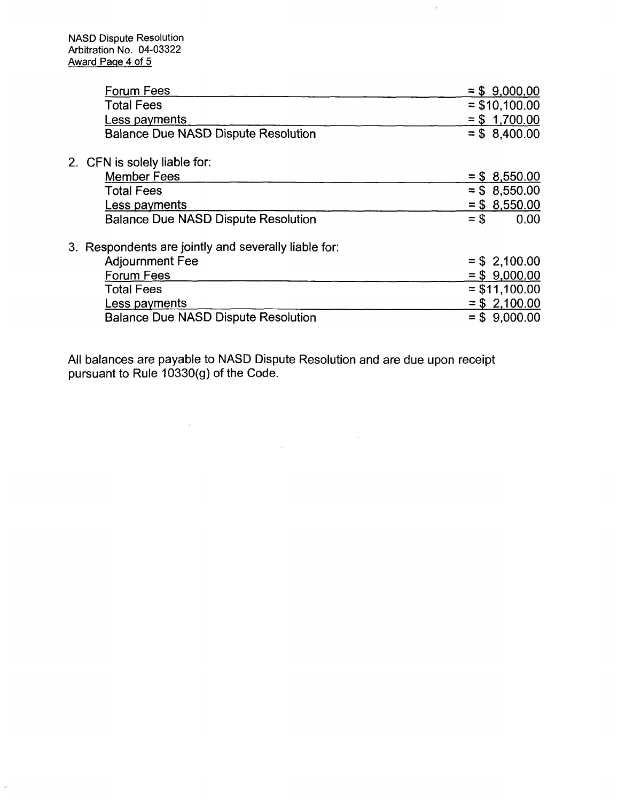$\bar{\omega}$ 

| <b>Forum Fees</b>                                    | $= $ 9,000.00$  |
|------------------------------------------------------|-----------------|
| <b>Total Fees</b>                                    | $=$ \$10,100.00 |
| Less payments                                        | $= $ 1,700.00$  |
| <b>Balance Due NASD Dispute Resolution</b>           | $= $8,400.00$   |
|                                                      |                 |
| 2. CFN is solely liable for:                         |                 |
| <b>Member Fees</b>                                   | $=$ \$ 8,550.00 |
| <b>Total Fees</b>                                    | $=$ \$ 8,550.00 |
| Less payments                                        | $=$ \$ 8,550.00 |
| <b>Balance Due NASD Dispute Resolution</b>           | 0.00<br>$=$ \$  |
| 3. Respondents are jointly and severally liable for: |                 |
| <b>Adjournment Fee</b>                               | $=$ \$ 2,100.00 |
| <b>Forum Fees</b>                                    | $= $ 9,000.00$  |
| <b>Total Fees</b>                                    | $= $11,100.00$  |
| Less payments                                        | $= $ 2,100.00$  |
| <b>Balance Due NASD Dispute Resolution</b>           | $= $ 9,000.00$  |
|                                                      |                 |

 $\hat{\boldsymbol{\theta}}$ 

All balances are payable to NASD Dispute Resolution and are due upon receipt pursuant to Rule 10330(g) of the Code.

 $\mathcal{O}(\mathcal{O}(\log n))$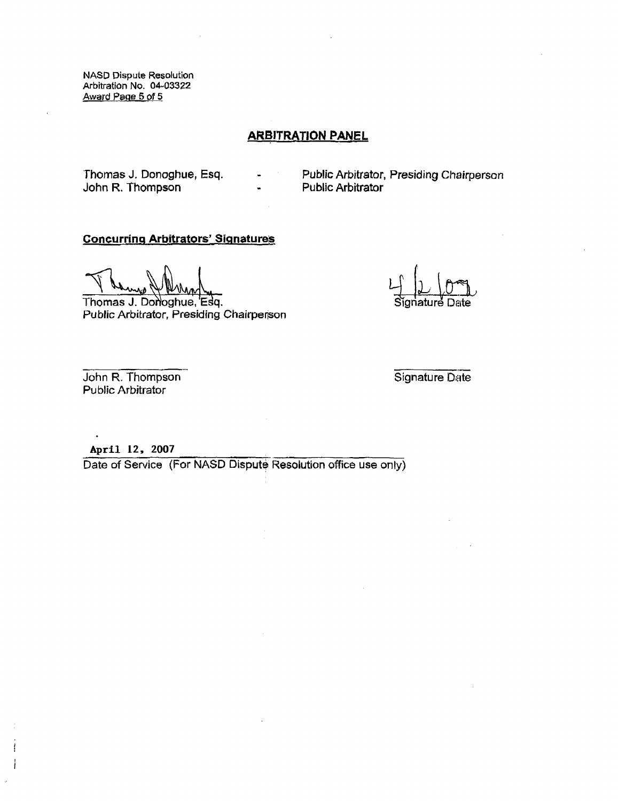NASD Dispute Resolution Arbitration No. 04-03322 Award Page 5 of 5

## ARBITRATION PANEL

John R. Thompson **-**

Thomas J, Donoghue, Esq. - Public Arbitrator, Presiding Chairperson<br>John R. Thompson - Public Arbitrator

#### Concurring Arbitrators' Signatures

 $\frac{1}{2}$  of  $\frac{1}{2}$  is  $\frac{1}{2}$ 

Thomas J. Donoghue, 'Esq. Signature Dates of Signature Public Arbitrator, Presiding Chairperson

John R. Thompson Signature Date Public Arbitrator

April 12, 2007

Date of Service (For NASD Dispute Resolution office use only)